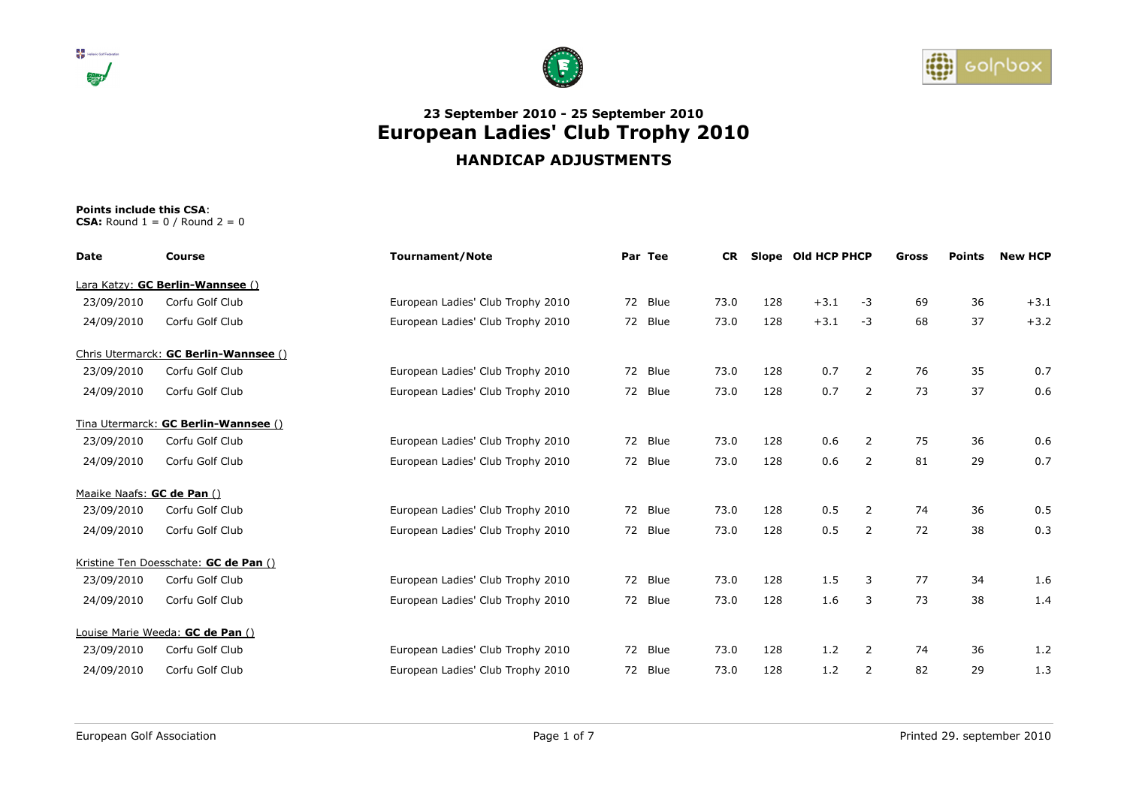





| Date                       | Course                                | <b>Tournament/Note</b>            | Par Tee | <b>CR</b> |     |        |                |    |    |        |  |  | Slope Old HCP PHCP |  | Gross | <b>Points</b> | <b>New HCP</b> |
|----------------------------|---------------------------------------|-----------------------------------|---------|-----------|-----|--------|----------------|----|----|--------|--|--|--------------------|--|-------|---------------|----------------|
|                            | Lara Katzy: GC Berlin-Wannsee ()      |                                   |         |           |     |        |                |    |    |        |  |  |                    |  |       |               |                |
| 23/09/2010                 | Corfu Golf Club                       | European Ladies' Club Trophy 2010 | 72 Blue | 73.0      | 128 | $+3.1$ | -3             | 69 | 36 | $+3.1$ |  |  |                    |  |       |               |                |
| 24/09/2010                 | Corfu Golf Club                       | European Ladies' Club Trophy 2010 | 72 Blue | 73.0      | 128 | $+3.1$ | $-3$           | 68 | 37 | $+3.2$ |  |  |                    |  |       |               |                |
|                            | Chris Utermarck: GC Berlin-Wannsee () |                                   |         |           |     |        |                |    |    |        |  |  |                    |  |       |               |                |
| 23/09/2010                 | Corfu Golf Club                       | European Ladies' Club Trophy 2010 | 72 Blue | 73.0      | 128 | 0.7    | 2              | 76 | 35 | 0.7    |  |  |                    |  |       |               |                |
| 24/09/2010                 | Corfu Golf Club                       | European Ladies' Club Trophy 2010 | 72 Blue | 73.0      | 128 | 0.7    | 2              | 73 | 37 | 0.6    |  |  |                    |  |       |               |                |
|                            | Tina Utermarck: GC Berlin-Wannsee ()  |                                   |         |           |     |        |                |    |    |        |  |  |                    |  |       |               |                |
| 23/09/2010                 | Corfu Golf Club                       | European Ladies' Club Trophy 2010 | 72 Blue | 73.0      | 128 | 0.6    | 2              | 75 | 36 | 0.6    |  |  |                    |  |       |               |                |
| 24/09/2010                 | Corfu Golf Club                       | European Ladies' Club Trophy 2010 | 72 Blue | 73.0      | 128 | 0.6    | 2              | 81 | 29 | 0.7    |  |  |                    |  |       |               |                |
| Maaike Naafs: GC de Pan () |                                       |                                   |         |           |     |        |                |    |    |        |  |  |                    |  |       |               |                |
| 23/09/2010                 | Corfu Golf Club                       | European Ladies' Club Trophy 2010 | 72 Blue | 73.0      | 128 | 0.5    | $\overline{2}$ | 74 | 36 | 0.5    |  |  |                    |  |       |               |                |
| 24/09/2010                 | Corfu Golf Club                       | European Ladies' Club Trophy 2010 | 72 Blue | 73.0      | 128 | 0.5    | 2              | 72 | 38 | 0.3    |  |  |                    |  |       |               |                |
|                            | Kristine Ten Doesschate: GC de Pan () |                                   |         |           |     |        |                |    |    |        |  |  |                    |  |       |               |                |
| 23/09/2010                 | Corfu Golf Club                       | European Ladies' Club Trophy 2010 | 72 Blue | 73.0      | 128 | 1.5    | 3              | 77 | 34 | 1.6    |  |  |                    |  |       |               |                |
| 24/09/2010                 | Corfu Golf Club                       | European Ladies' Club Trophy 2010 | 72 Blue | 73.0      | 128 | 1.6    | 3              | 73 | 38 | 1.4    |  |  |                    |  |       |               |                |
|                            | Louise Marie Weeda: GC de Pan ()      |                                   |         |           |     |        |                |    |    |        |  |  |                    |  |       |               |                |
| 23/09/2010                 | Corfu Golf Club                       | European Ladies' Club Trophy 2010 | 72 Blue | 73.0      | 128 | 1.2    | 2              | 74 | 36 | 1.2    |  |  |                    |  |       |               |                |
| 24/09/2010                 | Corfu Golf Club                       | European Ladies' Club Trophy 2010 | 72 Blue | 73.0      | 128 | 1.2    | 2              | 82 | 29 | 1.3    |  |  |                    |  |       |               |                |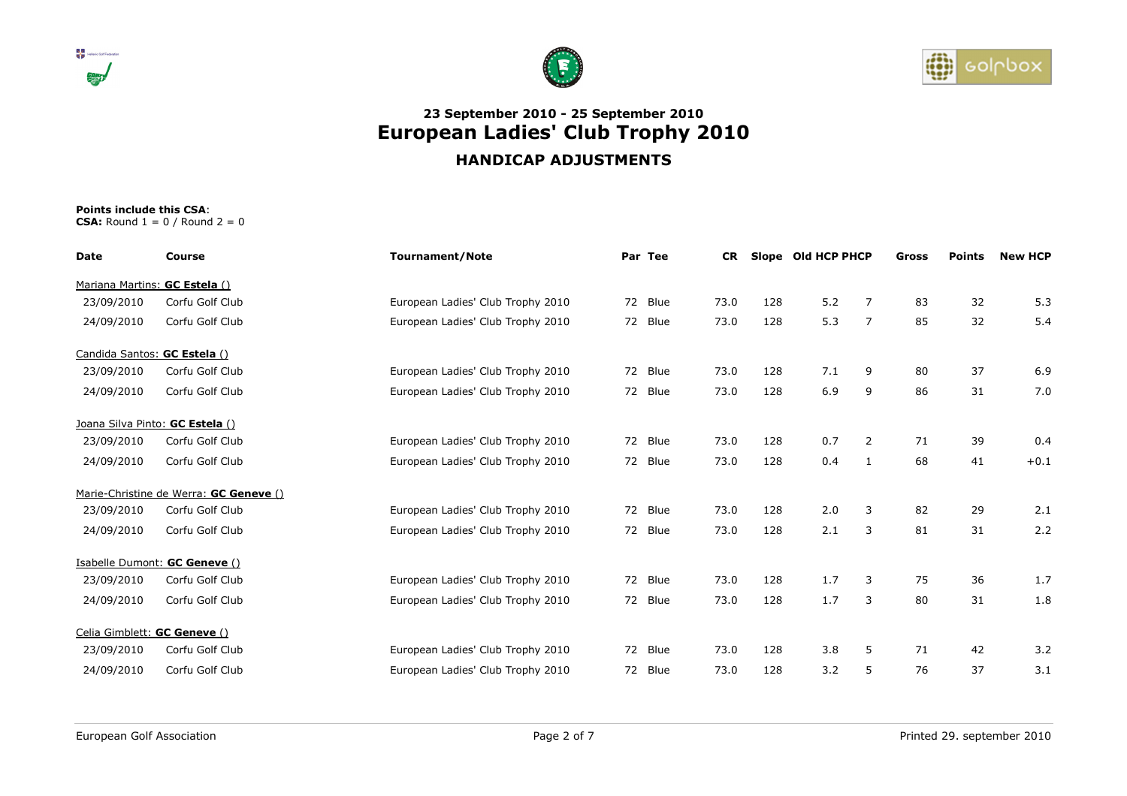





| Date                            | Course                                 | <b>Tournament/Note</b>            | Par Tee | <b>CR</b> |     | Slope Old HCP PHCP |                | <b>Gross</b> | <b>Points</b> | <b>New HCP</b> |
|---------------------------------|----------------------------------------|-----------------------------------|---------|-----------|-----|--------------------|----------------|--------------|---------------|----------------|
| Mariana Martins: GC Estela ()   |                                        |                                   |         |           |     |                    |                |              |               |                |
| 23/09/2010                      | Corfu Golf Club                        | European Ladies' Club Trophy 2010 | 72 Blue | 73.0      | 128 | 5.2                | $\overline{7}$ | 83           | 32            | 5.3            |
| 24/09/2010                      | Corfu Golf Club                        | European Ladies' Club Trophy 2010 | 72 Blue | 73.0      | 128 | 5.3                | $\overline{7}$ | 85           | 32            | 5.4            |
| Candida Santos: GC Estela ()    |                                        |                                   |         |           |     |                    |                |              |               |                |
| 23/09/2010                      | Corfu Golf Club                        | European Ladies' Club Trophy 2010 | 72 Blue | 73.0      | 128 | 7.1                | 9              | 80           | 37            | 6.9            |
| 24/09/2010                      | Corfu Golf Club                        | European Ladies' Club Trophy 2010 | 72 Blue | 73.0      | 128 | 6.9                | 9              | 86           | 31            | 7.0            |
| Joana Silva Pinto: GC Estela () |                                        |                                   |         |           |     |                    |                |              |               |                |
| 23/09/2010                      | Corfu Golf Club                        | European Ladies' Club Trophy 2010 | 72 Blue | 73.0      | 128 | 0.7                | $\overline{2}$ | 71           | 39            | 0.4            |
| 24/09/2010                      | Corfu Golf Club                        | European Ladies' Club Trophy 2010 | 72 Blue | 73.0      | 128 | 0.4                | $\mathbf{1}$   | 68           | 41            | $+0.1$         |
|                                 | Marie-Christine de Werra: GC Geneve () |                                   |         |           |     |                    |                |              |               |                |
| 23/09/2010                      | Corfu Golf Club                        | European Ladies' Club Trophy 2010 | 72 Blue | 73.0      | 128 | 2.0                | 3              | 82           | 29            | 2.1            |
| 24/09/2010                      | Corfu Golf Club                        | European Ladies' Club Trophy 2010 | 72 Blue | 73.0      | 128 | 2.1                | 3              | 81           | 31            | 2.2            |
|                                 | Isabelle Dumont: GC Geneve ()          |                                   |         |           |     |                    |                |              |               |                |
| 23/09/2010                      | Corfu Golf Club                        | European Ladies' Club Trophy 2010 | 72 Blue | 73.0      | 128 | 1.7                | 3              | 75           | 36            | 1.7            |
| 24/09/2010                      | Corfu Golf Club                        | European Ladies' Club Trophy 2010 | 72 Blue | 73.0      | 128 | 1.7                | 3              | 80           | 31            | 1.8            |
| Celia Gimblett: GC Geneve ()    |                                        |                                   |         |           |     |                    |                |              |               |                |
| 23/09/2010                      | Corfu Golf Club                        | European Ladies' Club Trophy 2010 | 72 Blue | 73.0      | 128 | 3.8                | 5              | 71           | 42            | 3.2            |
| 24/09/2010                      | Corfu Golf Club                        | European Ladies' Club Trophy 2010 | 72 Blue | 73.0      | 128 | 3.2                | 5              | 76           | 37            | 3.1            |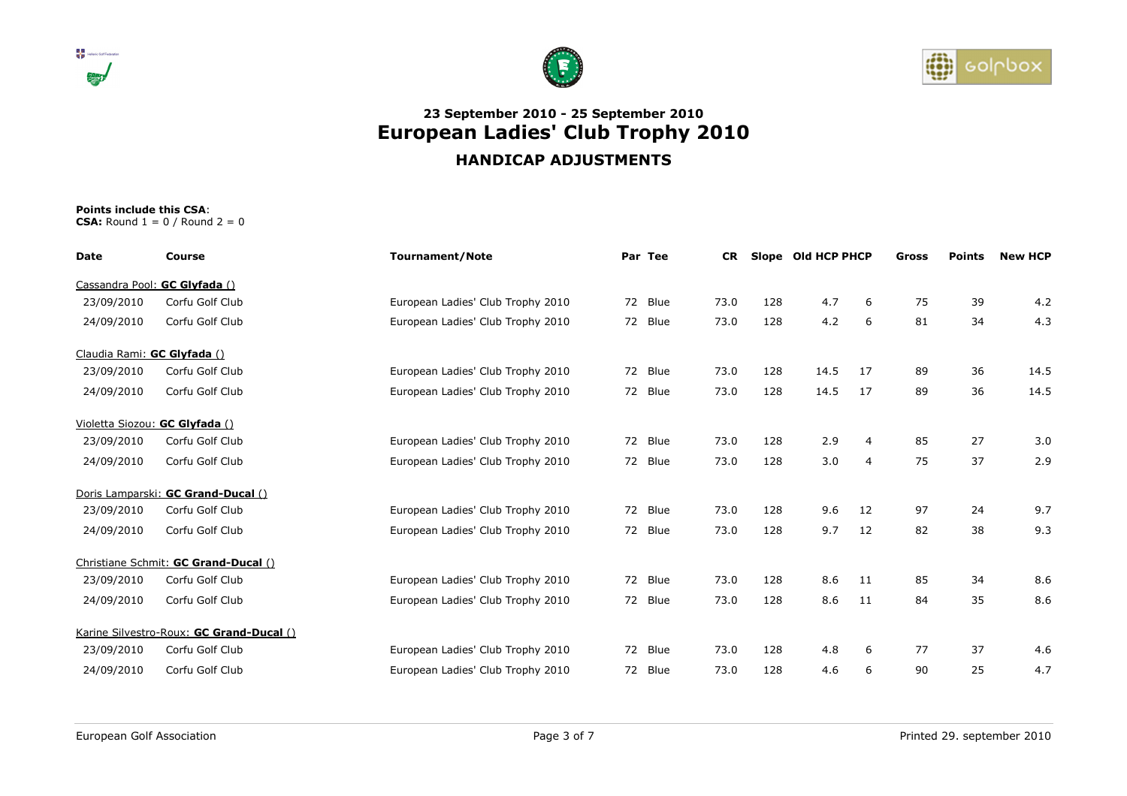





| Date                           | Course                                   | <b>Tournament/Note</b>            | Par Tee | <b>CR</b> |     | Slope Old HCP PHCP |                | Gross | <b>Points</b> | <b>New HCP</b> |
|--------------------------------|------------------------------------------|-----------------------------------|---------|-----------|-----|--------------------|----------------|-------|---------------|----------------|
| Cassandra Pool: GC Glyfada ()  |                                          |                                   |         |           |     |                    |                |       |               |                |
| 23/09/2010                     | Corfu Golf Club                          | European Ladies' Club Trophy 2010 | 72 Blue | 73.0      | 128 | 4.7                | 6              | 75    | 39            | 4.2            |
| 24/09/2010                     | Corfu Golf Club                          | European Ladies' Club Trophy 2010 | 72 Blue | 73.0      | 128 | 4.2                | 6              | 81    | 34            | 4.3            |
| Claudia Rami: GC Glyfada ()    |                                          |                                   |         |           |     |                    |                |       |               |                |
| 23/09/2010                     | Corfu Golf Club                          | European Ladies' Club Trophy 2010 | 72 Blue | 73.0      | 128 | 14.5               | 17             | 89    | 36            | 14.5           |
| 24/09/2010                     | Corfu Golf Club                          | European Ladies' Club Trophy 2010 | 72 Blue | 73.0      | 128 | 14.5               | 17             | 89    | 36            | 14.5           |
| Violetta Siozou: GC Glyfada () |                                          |                                   |         |           |     |                    |                |       |               |                |
| 23/09/2010                     | Corfu Golf Club                          | European Ladies' Club Trophy 2010 | 72 Blue | 73.0      | 128 | 2.9                | $\overline{4}$ | 85    | 27            | 3.0            |
| 24/09/2010                     | Corfu Golf Club                          | European Ladies' Club Trophy 2010 | 72 Blue | 73.0      | 128 | 3.0                | $\overline{4}$ | 75    | 37            | 2.9            |
|                                | Doris Lamparski: GC Grand-Ducal ()       |                                   |         |           |     |                    |                |       |               |                |
| 23/09/2010                     | Corfu Golf Club                          | European Ladies' Club Trophy 2010 | 72 Blue | 73.0      | 128 | 9.6                | 12             | 97    | 24            | 9.7            |
| 24/09/2010                     | Corfu Golf Club                          | European Ladies' Club Trophy 2010 | 72 Blue | 73.0      | 128 | 9.7                | 12             | 82    | 38            | 9.3            |
|                                | Christiane Schmit: GC Grand-Ducal ()     |                                   |         |           |     |                    |                |       |               |                |
| 23/09/2010                     | Corfu Golf Club                          | European Ladies' Club Trophy 2010 | 72 Blue | 73.0      | 128 | 8.6                | 11             | 85    | 34            | 8.6            |
| 24/09/2010                     | Corfu Golf Club                          | European Ladies' Club Trophy 2010 | 72 Blue | 73.0      | 128 | 8.6                | 11             | 84    | 35            | 8.6            |
|                                | Karine Silvestro-Roux: GC Grand-Ducal () |                                   |         |           |     |                    |                |       |               |                |
| 23/09/2010                     | Corfu Golf Club                          | European Ladies' Club Trophy 2010 | 72 Blue | 73.0      | 128 | 4.8                | 6              | 77    | 37            | 4.6            |
| 24/09/2010                     | Corfu Golf Club                          | European Ladies' Club Trophy 2010 | 72 Blue | 73.0      | 128 | 4.6                | 6              | 90    | 25            | 4.7            |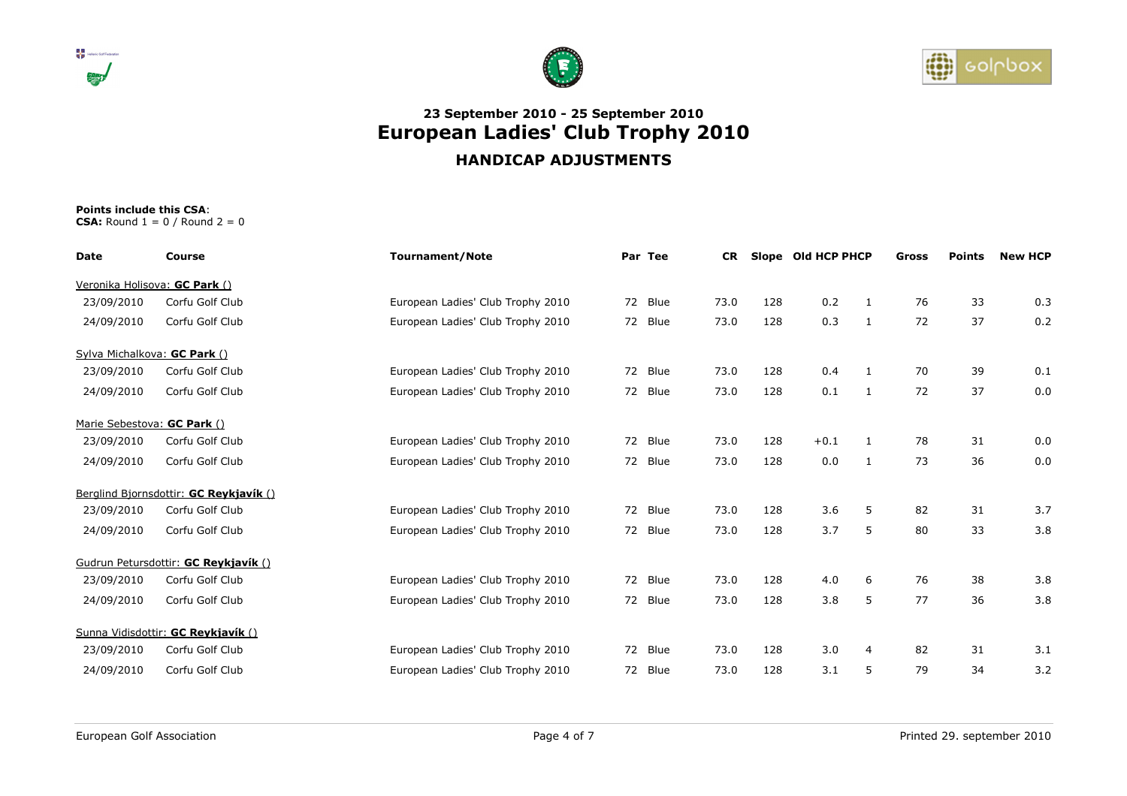





| Date                          | Course                                 | <b>Tournament/Note</b>            | Par Tee |         | <b>CR</b> |     | Slope Old HCP PHCP |              | Gross | <b>Points</b> | <b>New HCP</b> |
|-------------------------------|----------------------------------------|-----------------------------------|---------|---------|-----------|-----|--------------------|--------------|-------|---------------|----------------|
| Veronika Holisova: GC Park () |                                        |                                   |         |         |           |     |                    |              |       |               |                |
| 23/09/2010                    | Corfu Golf Club                        | European Ladies' Club Trophy 2010 |         | 72 Blue | 73.0      | 128 | 0.2                | 1            | 76    | 33            | 0.3            |
| 24/09/2010                    | Corfu Golf Club                        | European Ladies' Club Trophy 2010 |         | 72 Blue | 73.0      | 128 | 0.3                | $\mathbf{1}$ | 72    | 37            | 0.2            |
| Sylva Michalkova: GC Park ()  |                                        |                                   |         |         |           |     |                    |              |       |               |                |
| 23/09/2010                    | Corfu Golf Club                        | European Ladies' Club Trophy 2010 |         | 72 Blue | 73.0      | 128 | 0.4                | $\mathbf{1}$ | 70    | 39            | 0.1            |
| 24/09/2010                    | Corfu Golf Club                        | European Ladies' Club Trophy 2010 |         | 72 Blue | 73.0      | 128 | 0.1                | 1            | 72    | 37            | 0.0            |
| Marie Sebestova: GC Park ()   |                                        |                                   |         |         |           |     |                    |              |       |               |                |
| 23/09/2010                    | Corfu Golf Club                        | European Ladies' Club Trophy 2010 |         | 72 Blue | 73.0      | 128 | $+0.1$             | $\mathbf{1}$ | 78    | 31            | 0.0            |
| 24/09/2010                    | Corfu Golf Club                        | European Ladies' Club Trophy 2010 |         | 72 Blue | 73.0      | 128 | 0.0                | $\mathbf{1}$ | 73    | 36            | 0.0            |
|                               | Berglind Bjornsdottir: GC Reykjavík () |                                   |         |         |           |     |                    |              |       |               |                |
| 23/09/2010                    | Corfu Golf Club                        | European Ladies' Club Trophy 2010 |         | 72 Blue | 73.0      | 128 | 3.6                | 5            | 82    | 31            | 3.7            |
| 24/09/2010                    | Corfu Golf Club                        | European Ladies' Club Trophy 2010 |         | 72 Blue | 73.0      | 128 | 3.7                | 5            | 80    | 33            | 3.8            |
|                               | Gudrun Petursdottir: GC Reykjavík ()   |                                   |         |         |           |     |                    |              |       |               |                |
| 23/09/2010                    | Corfu Golf Club                        | European Ladies' Club Trophy 2010 |         | 72 Blue | 73.0      | 128 | 4.0                | 6            | 76    | 38            | 3.8            |
| 24/09/2010                    | Corfu Golf Club                        | European Ladies' Club Trophy 2010 |         | 72 Blue | 73.0      | 128 | 3.8                | 5            | 77    | 36            | 3.8            |
|                               | Sunna Vidisdottir: GC Reykjavík ()     |                                   |         |         |           |     |                    |              |       |               |                |
| 23/09/2010                    | Corfu Golf Club                        | European Ladies' Club Trophy 2010 |         | 72 Blue | 73.0      | 128 | 3.0                | 4            | 82    | 31            | 3.1            |
| 24/09/2010                    | Corfu Golf Club                        | European Ladies' Club Trophy 2010 |         | 72 Blue | 73.0      | 128 | 3.1                | 5            | 79    | 34            | 3.2            |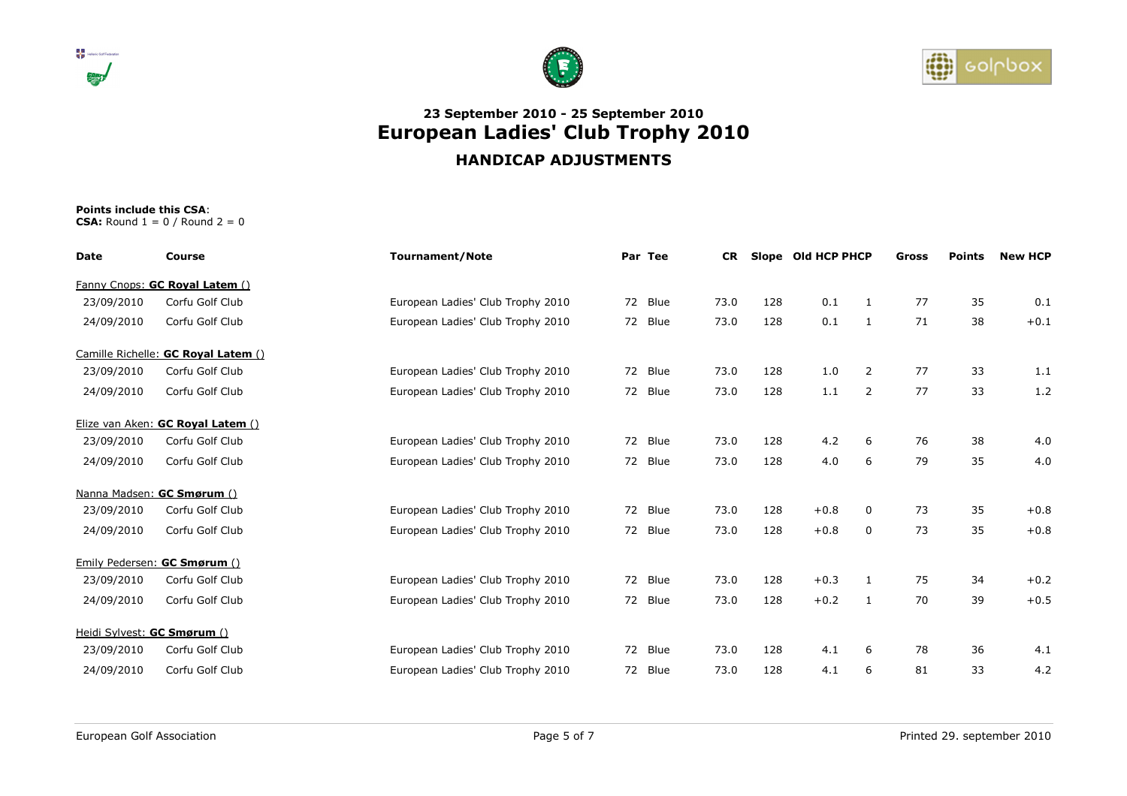





| Date                        | Course                              | <b>Tournament/Note</b>            | Par Tee |         | <b>CR</b> |     | Slope Old HCP PHCP |                | Gross | <b>Points</b> | <b>New HCP</b> |
|-----------------------------|-------------------------------------|-----------------------------------|---------|---------|-----------|-----|--------------------|----------------|-------|---------------|----------------|
|                             | Fanny Cnops: GC Royal Latem ()      |                                   |         |         |           |     |                    |                |       |               |                |
| 23/09/2010                  | Corfu Golf Club                     | European Ladies' Club Trophy 2010 |         | 72 Blue | 73.0      | 128 | 0.1                | 1              | 77    | 35            | 0.1            |
| 24/09/2010                  | Corfu Golf Club                     | European Ladies' Club Trophy 2010 |         | 72 Blue | 73.0      | 128 | 0.1                | $\mathbf{1}$   | 71    | 38            | $+0.1$         |
|                             | Camille Richelle: GC Royal Latem () |                                   |         |         |           |     |                    |                |       |               |                |
| 23/09/2010                  | Corfu Golf Club                     | European Ladies' Club Trophy 2010 |         | 72 Blue | 73.0      | 128 | 1.0                | $\overline{2}$ | 77    | 33            | 1.1            |
| 24/09/2010                  | Corfu Golf Club                     | European Ladies' Club Trophy 2010 |         | 72 Blue | 73.0      | 128 | 1.1                | 2              | 77    | 33            | 1.2            |
|                             | Elize van Aken: GC Royal Latem ()   |                                   |         |         |           |     |                    |                |       |               |                |
| 23/09/2010                  | Corfu Golf Club                     | European Ladies' Club Trophy 2010 |         | 72 Blue | 73.0      | 128 | 4.2                | 6              | 76    | 38            | 4.0            |
| 24/09/2010                  | Corfu Golf Club                     | European Ladies' Club Trophy 2010 |         | 72 Blue | 73.0      | 128 | 4.0                | 6              | 79    | 35            | 4.0            |
|                             | Nanna Madsen: GC Smørum ()          |                                   |         |         |           |     |                    |                |       |               |                |
| 23/09/2010                  | Corfu Golf Club                     | European Ladies' Club Trophy 2010 |         | 72 Blue | 73.0      | 128 | $+0.8$             | 0              | 73    | 35            | $+0.8$         |
| 24/09/2010                  | Corfu Golf Club                     | European Ladies' Club Trophy 2010 |         | 72 Blue | 73.0      | 128 | $+0.8$             | 0              | 73    | 35            | $+0.8$         |
|                             | Emily Pedersen: GC Smørum ()        |                                   |         |         |           |     |                    |                |       |               |                |
| 23/09/2010                  | Corfu Golf Club                     | European Ladies' Club Trophy 2010 |         | 72 Blue | 73.0      | 128 | $+0.3$             | 1              | 75    | 34            | $+0.2$         |
| 24/09/2010                  | Corfu Golf Club                     | European Ladies' Club Trophy 2010 |         | 72 Blue | 73.0      | 128 | $+0.2$             | 1              | 70    | 39            | $+0.5$         |
| Heidi Sylvest: GC Smørum () |                                     |                                   |         |         |           |     |                    |                |       |               |                |
| 23/09/2010                  | Corfu Golf Club                     | European Ladies' Club Trophy 2010 |         | 72 Blue | 73.0      | 128 | 4.1                | 6              | 78    | 36            | 4.1            |
| 24/09/2010                  | Corfu Golf Club                     | European Ladies' Club Trophy 2010 |         | 72 Blue | 73.0      | 128 | 4.1                | 6              | 81    | 33            | 4.2            |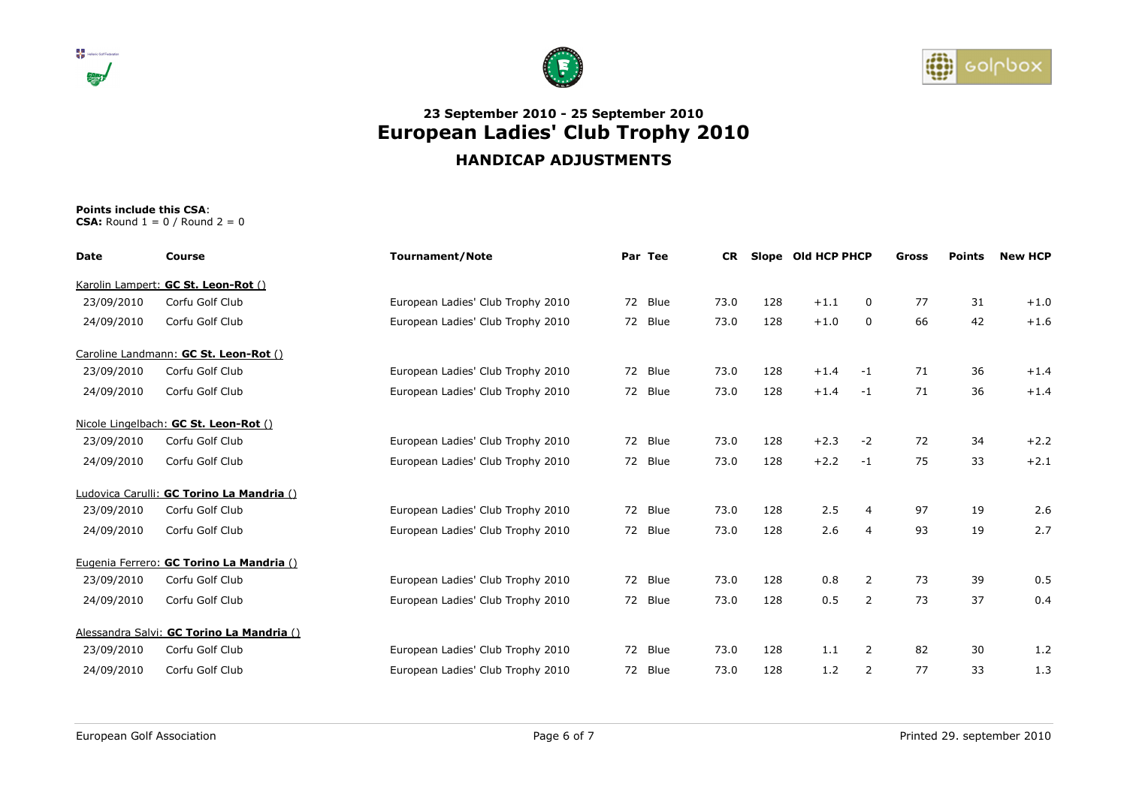





| <b>Date</b> | Course                                    | <b>Tournament/Note</b>            | Par Tee | <b>CR</b> |     | Slope Old HCP PHCP |                | Gross | <b>Points</b> | <b>New HCP</b> |
|-------------|-------------------------------------------|-----------------------------------|---------|-----------|-----|--------------------|----------------|-------|---------------|----------------|
|             | Karolin Lampert: GC St. Leon-Rot ()       |                                   |         |           |     |                    |                |       |               |                |
| 23/09/2010  | Corfu Golf Club                           | European Ladies' Club Trophy 2010 | 72 Blue | 73.0      | 128 | $+1.1$             | 0              | 77    | 31            | $+1.0$         |
| 24/09/2010  | Corfu Golf Club                           | European Ladies' Club Trophy 2010 | 72 Blue | 73.0      | 128 | $+1.0$             | 0              | 66    | 42            | $+1.6$         |
|             | Caroline Landmann: GC St. Leon-Rot ()     |                                   |         |           |     |                    |                |       |               |                |
| 23/09/2010  | Corfu Golf Club                           | European Ladies' Club Trophy 2010 | 72 Blue | 73.0      | 128 | $+1.4$             | $-1$           | 71    | 36            | $+1.4$         |
| 24/09/2010  | Corfu Golf Club                           | European Ladies' Club Trophy 2010 | 72 Blue | 73.0      | 128 | $+1.4$             | $-1$           | 71    | 36            | $+1.4$         |
|             | Nicole Lingelbach: GC St. Leon-Rot ()     |                                   |         |           |     |                    |                |       |               |                |
| 23/09/2010  | Corfu Golf Club                           | European Ladies' Club Trophy 2010 | 72 Blue | 73.0      | 128 | $+2.3$             | $-2$           | 72    | 34            | $+2.2$         |
| 24/09/2010  | Corfu Golf Club                           | European Ladies' Club Trophy 2010 | 72 Blue | 73.0      | 128 | $+2.2$             | $-1$           | 75    | 33            | $+2.1$         |
|             | Ludovica Carulli: GC Torino La Mandria () |                                   |         |           |     |                    |                |       |               |                |
| 23/09/2010  | Corfu Golf Club                           | European Ladies' Club Trophy 2010 | 72 Blue | 73.0      | 128 | 2.5                | 4              | 97    | 19            | 2.6            |
| 24/09/2010  | Corfu Golf Club                           | European Ladies' Club Trophy 2010 | 72 Blue | 73.0      | 128 | 2.6                | $\overline{4}$ | 93    | 19            | 2.7            |
|             | Eugenia Ferrero: GC Torino La Mandria ()  |                                   |         |           |     |                    |                |       |               |                |
| 23/09/2010  | Corfu Golf Club                           | European Ladies' Club Trophy 2010 | 72 Blue | 73.0      | 128 | 0.8                | 2              | 73    | 39            | 0.5            |
| 24/09/2010  | Corfu Golf Club                           | European Ladies' Club Trophy 2010 | 72 Blue | 73.0      | 128 | 0.5                | 2              | 73    | 37            | 0.4            |
|             | Alessandra Salvi: GC Torino La Mandria () |                                   |         |           |     |                    |                |       |               |                |
| 23/09/2010  | Corfu Golf Club                           | European Ladies' Club Trophy 2010 | 72 Blue | 73.0      | 128 | 1.1                | 2              | 82    | 30            | 1.2            |
| 24/09/2010  | Corfu Golf Club                           | European Ladies' Club Trophy 2010 | 72 Blue | 73.0      | 128 | 1.2                | 2              | 77    | 33            | 1.3            |